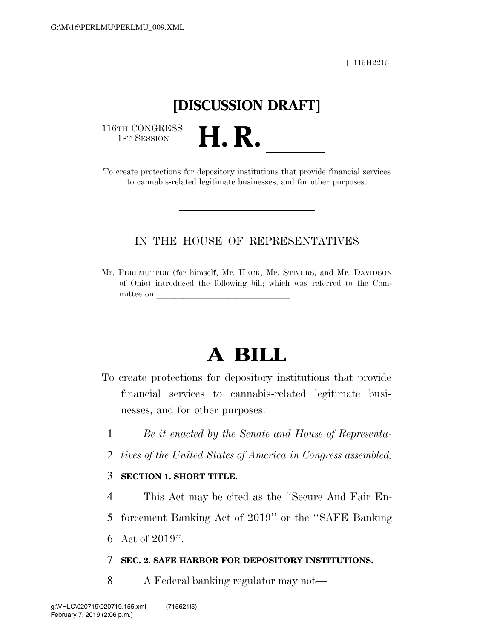[∼115H2215]

# **[DISCUSSION DRAFT]**

116TH CONGRESS<br>1st Session

116TH CONGRESS<br>
1ST SESSION<br>
To create protections for depository institutions that provide financial services to cannabis-related legitimate businesses, and for other purposes.

### IN THE HOUSE OF REPRESENTATIVES

Mr. PERLMUTTER (for himself, Mr. HECK, Mr. STIVERS, and Mr. DAVIDSON of Ohio) introduced the following bill; which was referred to the Committee on

# **A BILL**

- To create protections for depository institutions that provide financial services to cannabis-related legitimate businesses, and for other purposes.
	- 1 *Be it enacted by the Senate and House of Representa-*
	- 2 *tives of the United States of America in Congress assembled,*

#### 3 **SECTION 1. SHORT TITLE.**

- 4 This Act may be cited as the ''Secure And Fair En-
- 5 forcement Banking Act of 2019'' or the ''SAFE Banking

6 Act of 2019''.

#### 7 **SEC. 2. SAFE HARBOR FOR DEPOSITORY INSTITUTIONS.**

8 A Federal banking regulator may not—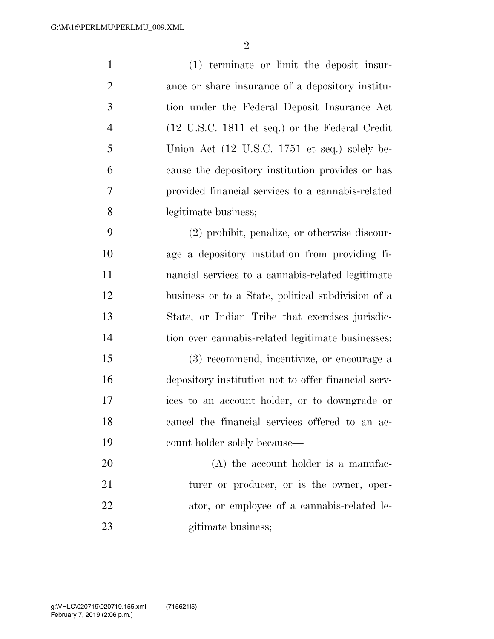(1) terminate or limit the deposit insur- ance or share insurance of a depository institu- tion under the Federal Deposit Insurance Act (12 U.S.C. 1811 et seq.) or the Federal Credit Union Act (12 U.S.C. 1751 et seq.) solely be- cause the depository institution provides or has provided financial services to a cannabis-related legitimate business;

 (2) prohibit, penalize, or otherwise discour- age a depository institution from providing fi- nancial services to a cannabis-related legitimate business or to a State, political subdivision of a State, or Indian Tribe that exercises jurisdic-tion over cannabis-related legitimate businesses;

 (3) recommend, incentivize, or encourage a depository institution not to offer financial serv- ices to an account holder, or to downgrade or cancel the financial services offered to an ac-count holder solely because—

20 (A) the account holder is a manufac-21 turer or producer, or is the owner, oper- ator, or employee of a cannabis-related le-23 gitimate business;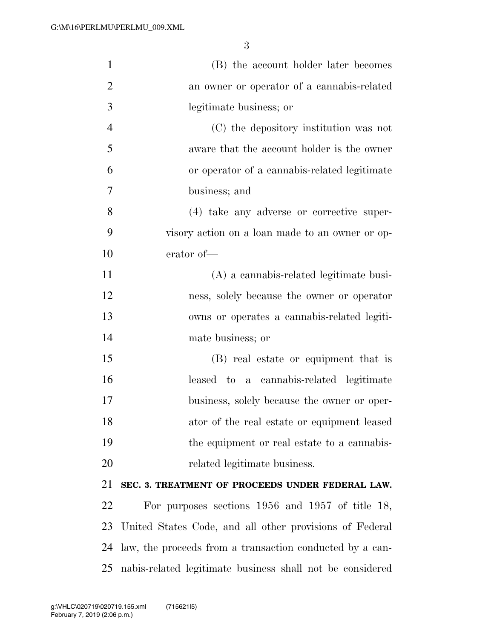| $\mathbf{1}$   | (B) the account holder later becomes                      |
|----------------|-----------------------------------------------------------|
| $\overline{2}$ | an owner or operator of a cannabis-related                |
| 3              | legitimate business; or                                   |
| $\overline{4}$ | (C) the depository institution was not                    |
| 5              | aware that the account holder is the owner                |
| 6              | or operator of a cannabis-related legitimate              |
| 7              | business; and                                             |
| 8              | (4) take any adverse or corrective super-                 |
| 9              | visory action on a loan made to an owner or op-           |
| 10             | erator of-                                                |
| 11             | (A) a cannabis-related legitimate busi-                   |
| 12             | ness, solely because the owner or operator                |
| 13             | owns or operates a cannabis-related legiti-               |
| 14             | mate business; or                                         |
| 15             | (B) real estate or equipment that is                      |
| 16             | leased to a cannabis-related legitimate                   |
| 17             | business, solely because the owner or oper-               |
| 18             | ator of the real estate or equipment leased               |
| 19             | the equipment or real estate to a cannabis-               |
| 20             | related legitimate business.                              |
| 21             | SEC. 3. TREATMENT OF PROCEEDS UNDER FEDERAL LAW.          |
| 22             | For purposes sections $1956$ and $1957$ of title 18,      |
| 23             | United States Code, and all other provisions of Federal   |
| 24             | law, the proceeds from a transaction conducted by a can-  |
| 25             | nabis-related legitimate business shall not be considered |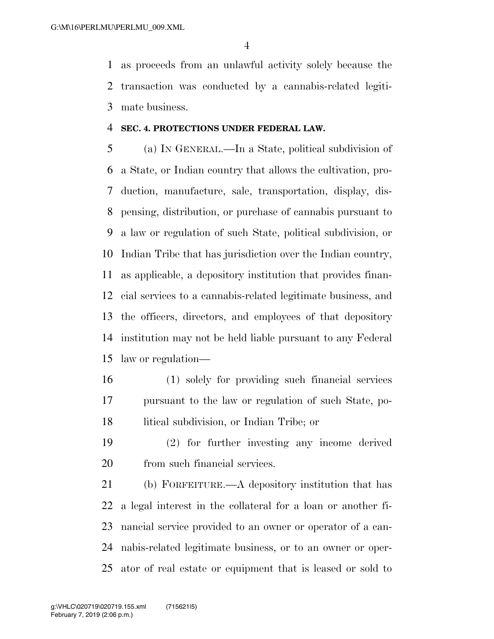as proceeds from an unlawful activity solely because the transaction was conducted by a cannabis-related legiti-mate business.

#### **SEC. 4. PROTECTIONS UNDER FEDERAL LAW.**

 (a) IN GENERAL.—In a State, political subdivision of a State, or Indian country that allows the cultivation, pro- duction, manufacture, sale, transportation, display, dis- pensing, distribution, or purchase of cannabis pursuant to a law or regulation of such State, political subdivision, or Indian Tribe that has jurisdiction over the Indian country, as applicable, a depository institution that provides finan- cial services to a cannabis-related legitimate business, and the officers, directors, and employees of that depository institution may not be held liable pursuant to any Federal law or regulation—

- (1) solely for providing such financial services pursuant to the law or regulation of such State, po-litical subdivision, or Indian Tribe; or
- (2) for further investing any income derived from such financial services.

 (b) FORFEITURE.—A depository institution that has a legal interest in the collateral for a loan or another fi- nancial service provided to an owner or operator of a can- nabis-related legitimate business, or to an owner or oper-ator of real estate or equipment that is leased or sold to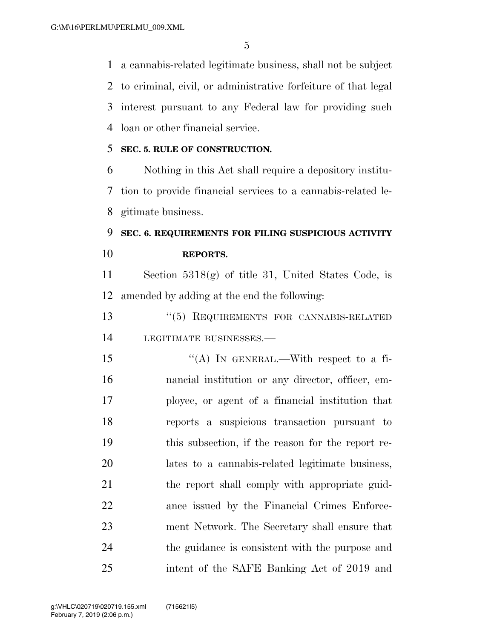a cannabis-related legitimate business, shall not be subject to criminal, civil, or administrative forfeiture of that legal interest pursuant to any Federal law for providing such loan or other financial service.

#### **SEC. 5. RULE OF CONSTRUCTION.**

 Nothing in this Act shall require a depository institu- tion to provide financial services to a cannabis-related le-gitimate business.

## **SEC. 6. REQUIREMENTS FOR FILING SUSPICIOUS ACTIVITY REPORTS.**

 Section 5318(g) of title 31, United States Code, is amended by adding at the end the following:

 ''(5) REQUIREMENTS FOR CANNABIS-RELATED LEGITIMATE BUSINESSES.—

 $((A)$  In GENERAL.—With respect to a fi- nancial institution or any director, officer, em- ployee, or agent of a financial institution that reports a suspicious transaction pursuant to this subsection, if the reason for the report re- lates to a cannabis-related legitimate business, 21 the report shall comply with appropriate guid- ance issued by the Financial Crimes Enforce- ment Network. The Secretary shall ensure that the guidance is consistent with the purpose and intent of the SAFE Banking Act of 2019 and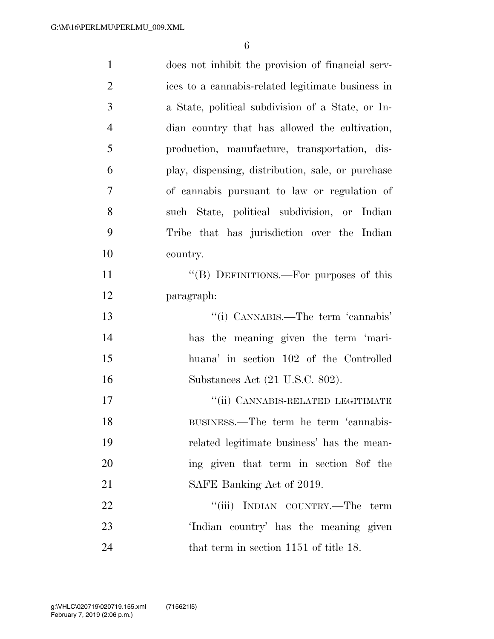| $\mathbf{1}$   | does not inhibit the provision of financial serv- |
|----------------|---------------------------------------------------|
| $\overline{2}$ | ices to a cannabis-related legitimate business in |
| 3              | a State, political subdivision of a State, or In- |
| $\overline{4}$ | dian country that has allowed the cultivation,    |
| 5              | production, manufacture, transportation, dis-     |
| 6              | play, dispensing, distribution, sale, or purchase |
| 7              | of cannabis pursuant to law or regulation of      |
| 8              | such State, political subdivision, or Indian      |
| 9              | Tribe that has jurisdiction over the Indian       |
| 10             | country.                                          |
| 11             | "(B) DEFINITIONS.—For purposes of this            |
| 12             | paragraph:                                        |
| 13             | "(i) CANNABIS.—The term 'cannabis'                |
| 14             | has the meaning given the term 'mari-             |
| 15             | huana' in section 102 of the Controlled           |
| 16             | Substances Act (21 U.S.C. 802).                   |
| 17             | "(ii) CANNABIS-RELATED LEGITIMATE                 |
| 18             | BUSINESS.—The term he term 'cannabis-             |
| 19             | related legitimate business' has the mean-        |
| 20             | ing given that term in section 8of the            |
| 21             | SAFE Banking Act of 2019.                         |
| 22             | "(iii) INDIAN COUNTRY.—The term                   |
| 23             | 'Indian country' has the meaning given            |
| 24             | that term in section 1151 of title 18.            |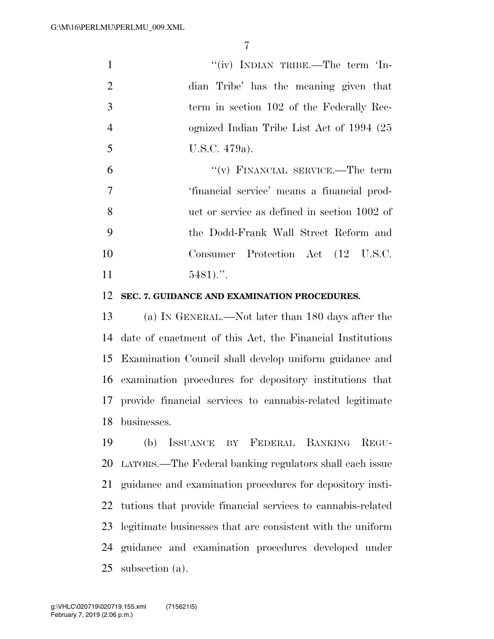|                | "(iv) INDIAN TRIBE.—The term 'In-            |
|----------------|----------------------------------------------|
| 2              | dian Tribe' has the meaning given that       |
| 3              | term in section 102 of the Federally Rec-    |
| $\overline{4}$ | ognized Indian Tribe List Act of 1994 (25    |
| 5              | U.S.C. 479a).                                |
| 6              | $``(v)$ FINANCIAL SERVICE.—The term          |
| 7              | 'financial service' means a financial prod-  |
| 8              | uct or service as defined in section 1002 of |
| 9              | the Dodd-Frank Wall Street Reform and        |
| 10             | Consumer Protection Act (12 U.S.C.           |
| 11             | $5481$                                       |
|                |                                              |

#### **SEC. 7. GUIDANCE AND EXAMINATION PROCEDURES.**

 (a) IN GENERAL.—Not later than 180 days after the date of enactment of this Act, the Financial Institutions Examination Council shall develop uniform guidance and examination procedures for depository institutions that provide financial services to cannabis-related legitimate businesses.

 (b) ISSUANCE BY FEDERAL BANKING REGU- LATORS.—The Federal banking regulators shall each issue guidance and examination procedures for depository insti- tutions that provide financial services to cannabis-related legitimate businesses that are consistent with the uniform guidance and examination procedures developed under subsection (a).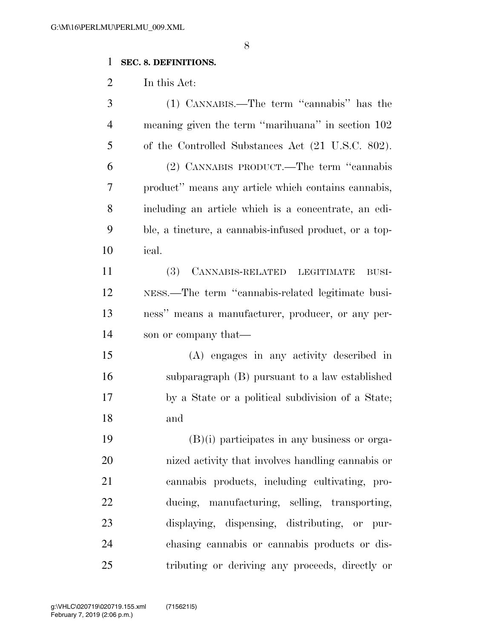## **SEC. 8. DEFINITIONS.**

In this Act:

| 3              | (1) CANNABIS.—The term "cannabis" has the              |
|----------------|--------------------------------------------------------|
| $\overline{4}$ | meaning given the term "marihuana" in section 102      |
| 5              | of the Controlled Substances Act (21 U.S.C. 802).      |
| 6              | (2) CANNABIS PRODUCT.—The term "cannabis               |
| 7              | product" means any article which contains cannabis,    |
| 8              | including an article which is a concentrate, an edi-   |
| 9              | ble, a tincture, a cannabis-infused product, or a top- |
| 10             | ical.                                                  |
| 11             | (3) CANNABIS-RELATED LEGITIMATE<br>BUSI-               |
| 12             | NESS.—The term "cannabis-related legitimate busi-      |
| 13             | ness" means a manufacturer, producer, or any per-      |
| 14             | son or company that—                                   |
| 15             | (A) engages in any activity described in               |
| 16             | subparagraph (B) pursuant to a law established         |
| 17             | by a State or a political subdivision of a State;      |
| 18             | and                                                    |
| 19             | $(B)(i)$ participates in any business or orga-         |
| 20             | nized activity that involves handling cannabis or      |
| 21             | cannabis products, including cultivating, pro-         |
| 22             | ducing, manufacturing, selling, transporting,          |
| 23             | displaying, dispensing, distributing, or pur-          |
| 24             | chasing cannabis or cannabis products or dis-          |
| 25             | tributing or deriving any proceeds, directly or        |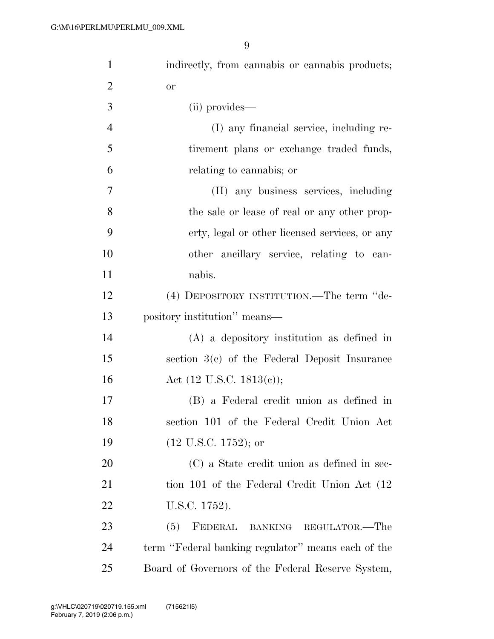| $\mathbf{1}$   | indirectly, from cannabis or cannabis products;    |
|----------------|----------------------------------------------------|
| $\overline{2}$ | <b>or</b>                                          |
| 3              | (ii) provides—                                     |
| $\overline{4}$ | (I) any financial service, including re-           |
| 5              | tirement plans or exchange traded funds,           |
| 6              | relating to cannabis; or                           |
| $\overline{7}$ | (II) any business services, including              |
| 8              | the sale or lease of real or any other prop-       |
| 9              | erty, legal or other licensed services, or any     |
| 10             | other ancillary service, relating to can-          |
| 11             | nabis.                                             |
| 12             | (4) DEPOSITORY INSTITUTION.—The term "de-          |
| 13             | pository institution" means—                       |
| 14             | $(A)$ a depository institution as defined in       |
| 15             | section 3(c) of the Federal Deposit Insurance      |
| 16             | Act $(12 \text{ U.S.C. } 1813(c));$                |
| 17             | (B) a Federal credit union as defined in           |
| 18             | section 101 of the Federal Credit Union Act        |
| 19             | $(12 \text{ U.S.C. } 1752)$ ; or                   |
| 20             | (C) a State credit union as defined in sec-        |
| 21             | tion 101 of the Federal Credit Union Act (12)      |
| 22             | U.S.C. 1752).                                      |
| 23             | FEDERAL BANKING REGULATOR.-The<br>(5)              |
| 24             | term "Federal banking regulator" means each of the |
| 25             | Board of Governors of the Federal Reserve System,  |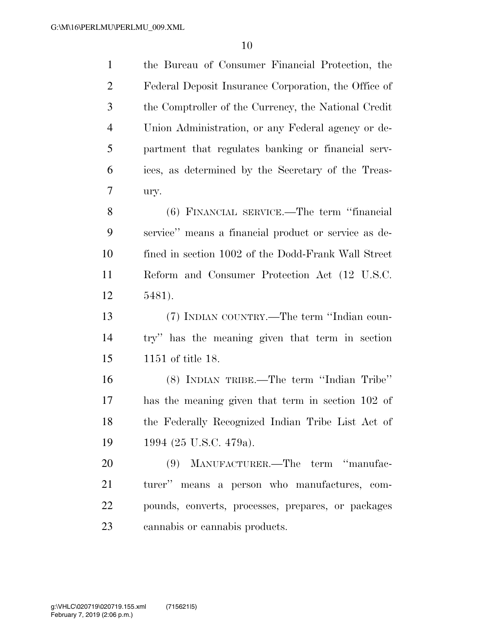| $\mathbf{1}$   | the Bureau of Consumer Financial Protection, the     |
|----------------|------------------------------------------------------|
| $\overline{2}$ | Federal Deposit Insurance Corporation, the Office of |
| 3              | the Comptroller of the Currency, the National Credit |
| 4              | Union Administration, or any Federal agency or de-   |
| 5              | partment that regulates banking or financial serv-   |
| 6              | ices, as determined by the Secretary of the Treas-   |
| 7              | ury.                                                 |
| 8              | (6) FINANCIAL SERVICE.—The term "financial           |
| 9              | service" means a financial product or service as de- |
| 10             | fined in section 1002 of the Dodd-Frank Wall Street  |
| 11             | Reform and Consumer Protection Act (12 U.S.C.        |
| 12             | 5481).                                               |
| 13             | (7) INDIAN COUNTRY.—The term "Indian coun-           |
| 14             | try" has the meaning given that term in section      |
| 15             | 1151 of title 18.                                    |
| 16             | (8) INDIAN TRIBE.—The term "Indian Tribe"            |
| 17             | has the meaning given that term in section 102 of    |
| 18             | the Federally Recognized Indian Tribe List Act of    |
| 19             | 1994 (25 U.S.C. 479a).                               |
| 20             | (9) MANUFACTURER.—The term "manufac-                 |
| 21             | turer" means a person who manufactures, com-         |
| 22             | pounds, converts, processes, prepares, or packages   |
| 23             | cannabis or cannabis products.                       |